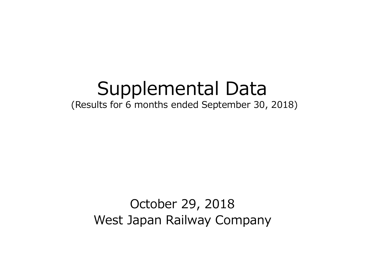# Supplemental Data

(Results for 6 months ended September 30, 2018)

October 29, 2018 West Japan Railway Company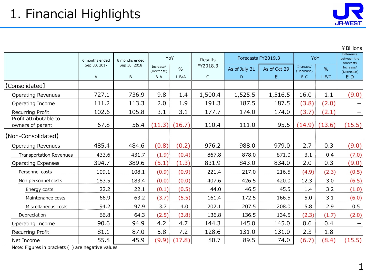

#### ¥Billions

|                                            | 6 months ended | 6 months ended | YoY                     |                   | Results     |               | Forecasts FY2019.3 |                         | YoY           |                                      |
|--------------------------------------------|----------------|----------------|-------------------------|-------------------|-------------|---------------|--------------------|-------------------------|---------------|--------------------------------------|
|                                            | Sep 30, 2017   | Sep 30, 2018   | Increase/<br>(Decrease) | $\frac{0}{0}$     | FY2018.3    | As of July 31 | As of Oct 29       | Increase/<br>(Decrease) | $\frac{0}{0}$ | forecasts<br>Increase/<br>(Decrease) |
|                                            | $\mathsf{A}$   | B              | $B-A$                   | $1 - B/A$         | $\mathsf C$ | D.            | E.                 | $E-C$                   | $1-E/C$       | $E-D$                                |
| [Consolidated]                             |                |                |                         |                   |             |               |                    |                         |               |                                      |
| <b>Operating Revenues</b>                  | 727.1          | 736.9          | 9.8                     | 1.4               | 1,500.4     | 1,525.5       | 1,516.5            | 16.0                    | 1.1           | (9.0)                                |
| Operating Income                           | 111.2          | 113.3          | 2.0                     | 1.9               | 191.3       | 187.5         | 187.5              | (3.8)                   | (2.0)         |                                      |
| Recurring Profit                           | 102.6          | 105.8          | 3.1                     | 3.1               | 177.7       | 174.0         | 174.0              | (3.7)                   | (2.1)         |                                      |
| Profit attributable to<br>owners of parent | 67.8           | 56.4           |                         | $(11.3)$ $(16.7)$ | 110.4       | 111.0         | 95.5               | (14.9)                  | (13.6)        | (15.5)                               |
| [Non-Consolidated]                         |                |                |                         |                   |             |               |                    |                         |               |                                      |
| <b>Operating Revenues</b>                  | 485.4          | 484.6          | (0.8)                   | (0.2)             | 976.2       | 988.0         | 979.0              | 2.7                     | 0.3           | (9.0)                                |
| <b>Transportation Revenues</b>             | 433.6          | 431.7          | (1.9)                   | (0.4)             | 867.8       | 878.0         | 871.0              | 3.1                     | 0.4           | (7.0)                                |
| <b>Operating Expenses</b>                  | 394.7          | 389.6          | (5.1)                   | (1.3)             | 831.9       | 843.0         | 834.0              | 2.0                     | 0.3           | (9.0)                                |
| Personnel costs                            | 109.1          | 108.1          | (0.9)                   | (0.9)             | 221.4       | 217.0         | 216.5              | (4.9)                   | (2.3)         | (0.5)                                |
| Non personnel costs                        | 183.5          | 183.4          | (0.0)                   | (0.0)             | 407.6       | 426.5         | 420.0              | 12.3                    | 3.0           | (6.5)                                |
| Energy costs                               | 22.2           | 22.1           | (0.1)                   | (0.5)             | 44.0        | 46.5          | 45.5               | 1.4                     | 3.2           | (1.0)                                |
| Maintenance costs                          | 66.9           | 63.2           | (3.7)                   | (5.5)             | 161.4       | 172.5         | 166.5              | 5.0                     | 3.1           | (6.0)                                |
| Miscellaneous costs                        | 94.2           | 97.9           | 3.7                     | 4.0               | 202.1       | 207.5         | 208.0              | 5.8                     | 2.9           | 0.5                                  |
| Depreciation                               | 66.8           | 64.3           | (2.5)                   | (3.8)             | 136.8       | 136.5         | 134.5              | (2.3)                   | (1.7)         | (2.0)                                |
| Operating Income                           | 90.6           | 94.9           | 4.2                     | 4.7               | 144.3       | 145.0         | 145.0              | 0.6                     | 0.4           | -                                    |
| Recurring Profit                           | 81.1           | 87.0           | 5.8                     | 7.2               | 128.6       | 131.0         | 131.0              | 2.3                     | 1.8           | $\qquad \qquad$                      |
| Net Income                                 | 55.8           | 45.9           | (9.9)                   | (17.8)            | 80.7        | 89.5          | 74.0               | (6.7)                   | (8.4)         | (15.5)                               |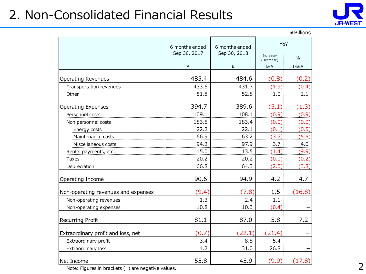# 2. Non-Consolidated Financial Results



|                                     |                |                |                         | ¥ Billions |
|-------------------------------------|----------------|----------------|-------------------------|------------|
|                                     | 6 months ended | 6 months ended | YoY                     |            |
|                                     | Sep 30, 2017   | Sep 30, 2018   | Increase/<br>(Decrease) | $\%$       |
|                                     | Α              | B              | $B-A$                   | $1 - B/A$  |
| <b>Operating Revenues</b>           | 485.4          | 484.6          | (0.8)                   | (0.2)      |
| Transportation revenues             | 433.6          | 431.7          | (1.9)                   | (0.4)      |
| Other                               | 51.8           | 52.8           | 1.0                     | 2.1        |
| <b>Operating Expenses</b>           | 394.7          | 389.6          | (5.1)                   | (1.3)      |
| Personnel costs                     | 109.1          | 108.1          | (0.9)                   | (0.9)      |
| Non personnel costs                 | 183.5          | 183.4          | (0.0)                   | (0.0)      |
| Energy costs                        | 22.2           | 22.1           | (0.1)                   | (0.5)      |
| Maintenance costs                   | 66.9           | 63.2           | (3.7)                   | (5.5)      |
| Miscellaneous costs                 | 94.2           | 97.9           | 3.7                     | 4.0        |
| Rental payments, etc.               | 15.0           | 13.5           | (1.4)                   | (9.9)      |
| Taxes                               | 20.2           | 20.2           | (0.0)                   | (0.2)      |
| Depreciation                        | 66.8           | 64.3           | (2.5)                   | (3.8)      |
| Operating Income                    | 90.6           | 94.9           | 4.2                     | 4.7        |
| Non-operating revenues and expenses | (9.4)          | (7.8)          | 1.5                     | (16.8)     |
| Non-operating revenues              | 1.3            | 2.4            | 1.1                     |            |
| Non-operating expenses              | 10.8           | 10.3           | (0.4)                   |            |
| Recurring Profit                    | 81.1           | 87.0           | 5.8                     | 7.2        |
| Extraordinary profit and loss, net  | (0.7)          | (22.1)         | (21.4)                  |            |
| Extraordinary profit                | 3.4            | 8.8            | 5.4                     |            |
| Extraordinary loss                  | 4.2            | 31.0           | 26.8                    |            |
| Net Income                          | 55.8           | 45.9           | (9.9)                   | (17.8)     |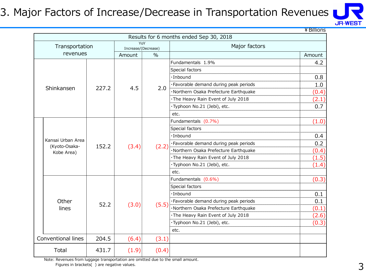#### 3. Major Factors of Increase/Decrease in Transportation Revenues



|                                    |       |                            |       |                                         | ¥ Billions |  |
|------------------------------------|-------|----------------------------|-------|-----------------------------------------|------------|--|
|                                    |       |                            |       | Results for 6 months ended Sep 30, 2018 |            |  |
| Transportation                     |       | YoY<br>Increase/(Decrease) |       | Major factors                           |            |  |
| revenues                           |       | Amount                     | $\%$  |                                         | Amount     |  |
|                                    |       |                            |       | Fundamentals 1.9%                       | 4.2        |  |
|                                    |       |                            |       | Special factors                         |            |  |
|                                    |       |                            |       | ·Inbound                                | 0.8        |  |
|                                    |       |                            |       | ·Favorable demand during peak periods   | 1.0        |  |
| Shinkansen                         | 227.2 | 4.5                        | 2.0   | ·Northern Osaka Prefecture Earthquake   | (0.4)      |  |
|                                    |       |                            |       | The Heavy Rain Event of July 2018       | (2.1)      |  |
|                                    |       |                            |       | ·Typhoon No.21 (Jebi), etc.             | 0.7        |  |
|                                    |       |                            |       | etc.                                    |            |  |
|                                    |       |                            | (2.2) | Fundamentals (0.7%)                     | (1.0)      |  |
|                                    |       | (3.4)                      |       | Special factors                         |            |  |
|                                    |       |                            |       | $\cdot$ Inbound                         | 0.4        |  |
| Kansai Urban Area<br>(Kyoto-Osaka- | 152.2 |                            |       | · Favorable demand during peak periods  | 0.2        |  |
| Kobe Area)                         |       |                            |       | ·Northern Osaka Prefecture Earthquake   | (0.4)      |  |
|                                    |       |                            |       | The Heavy Rain Event of July 2018       | (1.5)      |  |
|                                    |       |                            |       | ·Typhoon No.21 (Jebi), etc.             | (1.4)      |  |
|                                    |       |                            |       | etc.                                    |            |  |
|                                    |       |                            |       | Fundamentals (0.6%)                     | (0.3)      |  |
|                                    |       |                            |       | Special factors                         |            |  |
|                                    |       |                            |       | $\cdot$ Inbound                         | 0.1        |  |
| Other                              | 52.2  |                            | (5.5) | · Favorable demand during peak periods  | 0.1        |  |
| lines                              |       | (3.0)                      |       | ·Northern Osaka Prefecture Earthquake   | (0.1)      |  |
|                                    |       |                            |       | The Heavy Rain Event of July 2018       | (2.6)      |  |
|                                    |       |                            |       | ·Typhoon No.21 (Jebi), etc.             | (0.3)      |  |
|                                    |       |                            |       | etc.                                    |            |  |
| Conventional lines                 | 204.5 | (6.4)                      | (3.1) |                                         |            |  |
| Total                              | 431.7 | (1.9)                      | (0.4) |                                         |            |  |

Note: Revenues from luggage transportation are omitted due to the small amount. Figures in brackets( ) are negative values.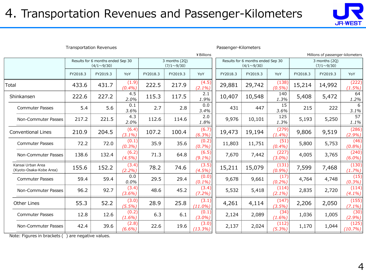### 4. Transportation Revenues and Passenger-Kilometers



| <b>Transportation Revenues</b>               |          |                                                                                              |                    |          |          |                                                        | Passenger-Kilometers |          |                                    |          |                                  |                    |
|----------------------------------------------|----------|----------------------------------------------------------------------------------------------|--------------------|----------|----------|--------------------------------------------------------|----------------------|----------|------------------------------------|----------|----------------------------------|--------------------|
|                                              |          |                                                                                              |                    |          |          | ¥ Billions                                             |                      |          |                                    |          | Millions of passenger-kilometers |                    |
|                                              |          | Results for 6 months ended Sep 30<br>3 months (2Q)<br>$(4/1 \sim 9/30)$<br>$(7/1 \sim 9/30)$ |                    |          |          | Results for 6 months ended Sep 30<br>$(4/1 \sim 9/30)$ |                      |          | 3 months (2Q)<br>$(7/1 \sim 9/30)$ |          |                                  |                    |
|                                              | FY2018.3 | FY2019.3                                                                                     | YoY                | FY2018.3 | FY2019.3 | YoY                                                    | FY2018.3             | FY2019.3 | YoY                                | FY2018.3 | FY2019.3                         | YoY                |
| Total                                        | 433.6    | 431.7                                                                                        | (1.9)<br>(0.4%)    | 222.5    | 217.9    | (4.5)<br>$(2.1\%)$                                     | 29,881               | 29,742   | (138)<br>$(0.5\%)$                 | 15,214   | 14,992                           | (222)<br>(1.5%)    |
| Shinkansen                                   | 222.6    | 227.2                                                                                        | 4.5<br>2.0%        | 115.3    | 117.5    | 2.1<br>1.9%                                            | 10,407               | 10,548   | 140<br>1.3%                        | 5,408    | 5,472                            | 64<br>1.2%         |
| <b>Commuter Passes</b>                       | 5.4      | 5.6                                                                                          | 0.1<br>3.6%        | 2.7      | 2.8      | 0.0<br>3.4%                                            | 431                  | 447      | 15<br>3.6%                         | 215      | 222                              | 6<br>3.1%          |
| Non-Commuter Passes                          | 217.2    | 221.5                                                                                        | 4.3<br>2.0%        | 112.6    | 114.6    | 2.0<br>1.8%                                            | 9,976                | 10,101   | 125<br>1.3%                        | 5,193    | 5,250                            | 57<br>1.1%         |
| <b>Conventional Lines</b>                    | 210.9    | 204.5                                                                                        | (6.4)<br>$(3.1\%)$ | 107.2    | 100.4    | (6.7)<br>(6.3%)                                        | 19,473               | 19,194   | (279)<br>(1.4%)                    | 9,806    | 9,519                            | (286)<br>(2.9%)    |
| <b>Commuter Passes</b>                       | 72.2     | 72.0                                                                                         | (0.1)<br>(0.3%)    | 35.9     | 35.6     | (0.2)<br>(0.7%)                                        | 11,803               | 11,751   | (51)<br>(0.4%)                     | 5,800    | 5,753                            | (46)<br>(0.8%)     |
| Non-Commuter Passes                          | 138.6    | 132.4                                                                                        | (6.2)<br>$(4.5\%)$ | 71.3     | 64.8     | (6.5)<br>$(9.1\%)$                                     | 7,670                | 7,442    | (227)<br>$(3.0\%)$                 | 4,005    | 3,765                            | (240)<br>$(6.0\%)$ |
| Kansai Urban Area<br>(Kyoto-Osaka-Kobe Area) | 155.6    | 152.2                                                                                        | (3.4)<br>(2.2%)    | 78.2     | 74.6     | (3.5)<br>$(4.5\%)$                                     | 15,211               | 15,079   | (131)<br>(0.9%)                    | 7,599    | 7,468                            | (130)<br>$(1.7\%)$ |
| <b>Commuter Passes</b>                       | 59.4     | 59.4                                                                                         | 0.0<br>0.0%        | 29.5     | 29.4     | (0.0)<br>(0.1%                                         | 9,678                | 9,661    | (17)<br>(0.2%)                     | 4,764    | 4,748                            | (15)<br>(0.3%)     |
| Non-Commuter Passes                          | 96.2     | 92.7                                                                                         | (3.4)<br>$(3.6\%)$ | 48.6     | 45.2     | (3.4)<br>$(7.2\%)$                                     | 5,532                | 5,418    | (114)<br>$(2.1\%)$                 | 2,835    | 2,720                            | (114)<br>$(4.1\%)$ |
| Other Lines                                  | 55.3     | 52.2                                                                                         | (3.0)<br>(5.5%)    | 28.9     | 25.8     | (3.1)<br>$(11.0\%)$                                    | 4,261                | 4,114    | (147)<br>(3.5%)                    | 2,206    | 2,050                            | (155)<br>$(7.1\%)$ |
| <b>Commuter Passes</b>                       | 12.8     | 12.6                                                                                         | (0.2)<br>$(1.6\%)$ | 6.3      | 6.1      | (0.1)<br>$(3.0\%)$                                     | 2,124                | 2,089    | (34)<br>$(1.6\%)$                  | 1,036    | 1,005                            | (30)<br>$(2.9\%)$  |
| Non-Commuter Passes                          | 42.4     | 39.6                                                                                         | (2.8)<br>$(6.6\%)$ | 22.6     | 19.6     | (3.0)<br>(13.3%)                                       | 2,137                | 2,024    | (112)<br>$(5.3\%)$                 | 1,170    | 1,044                            | (125)<br>(10.7%)   |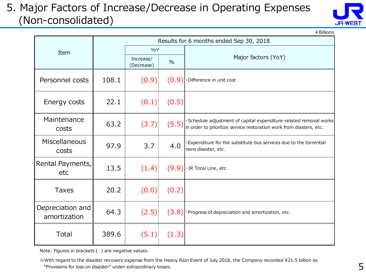#### 5. Major Factors of Increase/Decrease in Operating Expenses (Non-consolidated)



¥Billions

|                                  |       |                         | Results for 6 months ended Sep 30, 2018 |                                                                                                                                           |  |  |  |
|----------------------------------|-------|-------------------------|-----------------------------------------|-------------------------------------------------------------------------------------------------------------------------------------------|--|--|--|
| Item                             |       | YoY                     |                                         |                                                                                                                                           |  |  |  |
|                                  |       | Increase/<br>(Decrease) | $\%$                                    | Major factors (YoY)                                                                                                                       |  |  |  |
| Personnel costs                  | 108.1 | (0.9)                   | (0.9)                                   | · Difference in unit cost                                                                                                                 |  |  |  |
| Energy costs                     | 22.1  | (0.1)                   | (0.5)                                   |                                                                                                                                           |  |  |  |
| Maintenance<br>costs             | 63.2  | (3.7)                   | (5.5)                                   | · Schedule adjustment of capital expenditure-related removal works<br>in order to prioritize service restoration work from diasters, etc. |  |  |  |
| Miscellaneous<br>costs           | 97.9  | 3.7                     | 4.0                                     | · Expenditure for the substitute bus services due to the torrential<br>rains disaster, etc.                                               |  |  |  |
| Rental Payments,<br>etc          | 13.5  | (1.4)                   | (9.9)                                   | · JR Tozai Line, etc.                                                                                                                     |  |  |  |
| <b>Taxes</b>                     | 20.2  | (0.0)                   | (0.2)                                   |                                                                                                                                           |  |  |  |
| Depreciation and<br>amortization | 64.3  | (2.5)                   |                                         | $(3.8)$ $\cdot$ Progress of depreciation and amortization, etc.                                                                           |  |  |  |
| <b>Total</b>                     | 389.6 | (5.1)                   | (1.3)                                   |                                                                                                                                           |  |  |  |

Note: Figures in brackets ( ) are negative values.

 ※With regard to the disaster recovery expense from the Heavy Rain Event of July 2018, the Company recorded \21.5 billion as "Provisions for loss on disaster" under extraordinary losses.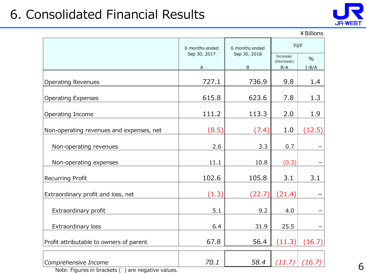# 6. Consolidated Financial Results



#### ¥Billions

|                                                                              | 6 months ended    | 6 months ended    | YoY                              |                            |
|------------------------------------------------------------------------------|-------------------|-------------------|----------------------------------|----------------------------|
|                                                                              | Sep 30, 2017<br>А | Sep 30, 2018<br>B | Increase/<br>(Decrease)<br>$B-A$ | $\frac{0}{0}$<br>$1 - B/A$ |
|                                                                              |                   |                   |                                  |                            |
| <b>Operating Revenues</b>                                                    | 727.1             | 736.9             | 9.8                              | 1.4                        |
| <b>Operating Expenses</b>                                                    | 615.8             | 623.6             | 7.8                              | 1.3                        |
| Operating Income                                                             | 111.2             | 113.3             | 2.0                              | 1.9                        |
| Non-operating revenues and expenses, net                                     | (8.5)             | (7.4)             | 1.0                              | (12.5)                     |
| Non-operating revenues                                                       | 2.6               | 3.3               | 0.7                              |                            |
| Non-operating expenses                                                       | 11.1              | 10.8              | (0.3)                            |                            |
| Recurring Profit                                                             | 102.6             | 105.8             | 3.1                              | 3.1                        |
| Extraordinary profit and loss, net                                           | (1.3)             | (22.7)            | (21.4)                           |                            |
| Extraordinary profit                                                         | 5.1               | 9.2               | 4.0                              |                            |
| Extraordinary loss                                                           | 6.4               | 31.9              | 25.5                             |                            |
| Profit attributable to owners of parent                                      | 67.8              | 56.4              | (11.3)                           | (16.7)                     |
| Comprehensive Income<br>Note: Figures in brackets ()<br>are negative values. | 70.1              | 58.4              | (11.7)                           | (16.7)                     |

6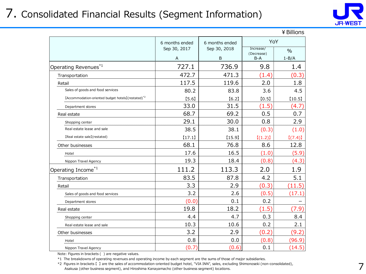#### 7. Consolidated Financial Results (Segment Information)



|                                                                 |                                |                                |                                | ¥ Billions    |
|-----------------------------------------------------------------|--------------------------------|--------------------------------|--------------------------------|---------------|
|                                                                 | 6 months ended<br>Sep 30, 2017 | 6 months ended<br>Sep 30, 2018 | YoY<br>Increase/<br>(Decrease) | $\frac{0}{0}$ |
|                                                                 | A                              | B                              | $B-A$                          | $1 - B/A$     |
| Operating Revenues*1                                            | 727.1                          | 736.9                          | 9.8                            | 1.4           |
| Transportation                                                  | 472.7                          | 471.3                          | (1.4)                          | (0.3)         |
| Retail                                                          | 117.5                          | 119.6                          | 2.0                            | 1.8           |
| Sales of goods and food services                                | 80.2                           | 83.8                           | 3.6                            | 4.5           |
| [Accommodation-oriented budget hotels] (restated) <sup>*2</sup> | [5.6]                          | [6.2]                          | [0.5]                          | [10.5]        |
| Department stores                                               | 33.0                           | 31.5                           | (1.5)                          | (4.7)         |
| Real estate                                                     | 68.7                           | 69.2                           | 0.5                            | 0.7           |
| Shopping center                                                 | 29.1                           | 30.0                           | 0.8                            | 2.9           |
| Real estate lease and sale                                      | 38.5                           | 38.1                           | (0.3)                          | (1.0)         |
| [Real estate sale] (restated)                                   | [17.1]                         | [15.9]                         | [(1.2)]                        | [(7.4)]       |
| Other businesses                                                | 68.1                           | 76.8                           | 8.6                            | 12.8          |
| Hotel                                                           | 17.6                           | 16.5                           | (1.0)                          | (5.9)         |
| Nippon Travel Agency                                            | 19.3                           | 18.4                           | (0.8)                          | (4.3)         |
| Operating Income <sup>*1</sup>                                  | 111.2                          | 113.3                          | 2.0                            | 1.9           |
| Transportation                                                  | 83.5                           | 87.8                           | 4.2                            | 5.1           |
| Retail                                                          | 3.3                            | 2.9                            | (0.3)                          | (11.5)        |
| Sales of goods and food services                                | 3.2                            | 2.6                            | (0.5)                          | (17.1)        |
| Department stores                                               | (0.0)                          | 0.1                            | 0.2                            |               |
| Real estate                                                     | 19.8                           | 18.2                           | (1.5)                          | (7.9)         |
| Shopping center                                                 | 4.4                            | 4.7                            | 0.3                            | 8.4           |
| Real estate lease and sale                                      | 10.3                           | 10.6                           | 0.2                            | 2.1           |
| Other businesses                                                | 3.2                            | 2.9                            | (0.2)                          | (9.2)         |
| Hotel                                                           | 0.8                            | 0.0                            | (0.8)                          | (96.9)        |
| Nippon Travel Agency                                            | (0.7)                          | (0.6)                          | 0.1                            | (14.5)        |

Note: Figures in brackets ( ) are negative values.

\*1 The breakdowns of operating revenues and operating income by each segment are the sums of those of major subsidiaries.

\*2 Figures in brackets 【 】 are the sales of accommodation-oriented budget hotel, "VIA INN", sales, excluding Shimonoseki (non-consolidated), Asakusa (other business segment), and Hiroshima Kanayamacho (other business segment) locations.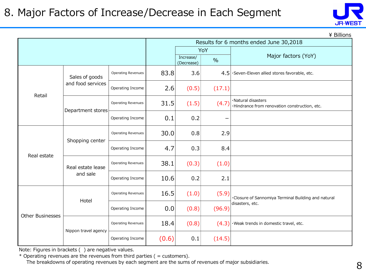

 $\angle$  Billions

|                         |                      |                           |       |                         |        | Results for 6 months ended June 30,2018                             |
|-------------------------|----------------------|---------------------------|-------|-------------------------|--------|---------------------------------------------------------------------|
|                         |                      |                           |       |                         | YoY    |                                                                     |
|                         |                      |                           |       | Increase/<br>(Decrease) | $\%$   | Major factors (YoY)                                                 |
|                         | Sales of goods       | Operating Revenues        | 83.8  | 3.6                     | 4.5    | ·Seven-Eleven allied stores favorable, etc.                         |
| Retail                  | and food services    | Operating Income          | 2.6   | (0.5)                   | (17.1) |                                                                     |
|                         |                      | <b>Operating Revenues</b> | 31.5  | (1.5)                   | (4.7)  | ·Natural disasters<br>·Hindrance from renovation construction, etc. |
|                         | Department stores    | Operating Income          | 0.1   | 0.2                     |        |                                                                     |
|                         | Shopping center      | <b>Operating Revenues</b> | 30.0  | 0.8                     | 2.9    |                                                                     |
| Real estate             |                      | Operating Income          | 4.7   | 0.3                     | 8.4    |                                                                     |
|                         | Real estate lease    | Operating Revenues        | 38.1  | (0.3)                   | (1.0)  |                                                                     |
|                         | and sale             | Operating Income          | 10.6  | 0.2                     | 2.1    |                                                                     |
|                         | Hotel                | Operating Revenues        | 16.5  | (1.0)                   | (5.9)  | ·Closure of Sannomiya Terminal Building and natural                 |
| <b>Other Businesses</b> |                      | Operating Income          | 0.0   | (0.8)                   | (96.9) | disasters, etc.                                                     |
|                         |                      | <b>Operating Revenues</b> | 18.4  | (0.8)                   | (4.3)  | ·Weak trends in domestic travel, etc.                               |
|                         | Nippon travel agency | Operating Income          | (0.6) | 0.1                     | (14.5) |                                                                     |

Note: Figures in brackets ( ) are negative values.

 $*$  Operating revenues are the revenues from third parties ( = customers). The breakdowns of operating revenues by each segment are the sums of revenues of major subsidiaries.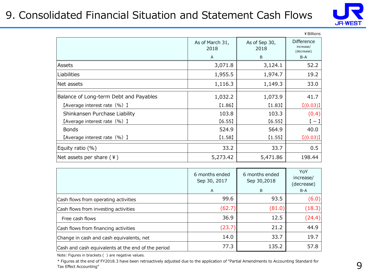#### 9. Consolidated Financial Situation and Statement Cash Flows



|                                        |                         |                       | ¥ Billions                                   |
|----------------------------------------|-------------------------|-----------------------|----------------------------------------------|
|                                        | As of March 31,<br>2018 | As of Sep 30,<br>2018 | <b>Difference</b><br>increase/<br>(decrease) |
|                                        | A                       | B                     | $B-A$                                        |
| Assets                                 | 3,071.8                 | 3,124.1               | 52.2                                         |
| Liabilities                            | 1,955.5                 | 1,974.7               | 19.2                                         |
| Net assets                             | 1,116.3                 | 1,149.3               | 33.0                                         |
| Balance of Long-term Debt and Payables | 1,032.2                 | 1,073.9               | 41.7                                         |
| [Average interest rate (%) ]           | [1.86]                  | [1.83]                | [(0.03)]                                     |
| Shinkansen Purchase Liability          | 103.8                   | 103.3                 | (0.4)                                        |
| [Average interest rate (%) ]           | [6.55]                  | [6.55]                | $\mathfrak{l}-\mathfrak{l}$                  |
| <b>Bonds</b>                           | 524.9                   | 564.9                 | 40.0                                         |
| [Average interest rate (%) ]           | [1.58]                  | (1.55)                | [(0.03)]                                     |
| Equity ratio $(\%)$                    | 33.2                    | 33.7                  | 0.5                                          |
| Net assets per share $(4)$             | 5,273.42                | 5,471.86              | 198.44                                       |

|                                                    | 6 months ended<br>Sep 30, 2017<br>A | 6 months ended<br>Sep 30,2018<br>B | YoY<br>increase/<br>(decrease)<br>B-A |
|----------------------------------------------------|-------------------------------------|------------------------------------|---------------------------------------|
| Cash flows from operating activities               | 99.6                                | 93.5                               | (6.0)                                 |
| Cash flows from investing activities               | (62.7)                              | (81.0)                             | (18.3)                                |
| Free cash flows                                    | 36.9                                | 12.5                               | (24.4)                                |
| Cash flows from financing activities               | (23.7)                              | 21.2                               | 44.9                                  |
| Change in cash and cash equivalents, net           | 14.0                                | 33.7                               | 19.7                                  |
| Cash and cash equivalents at the end of the period | 77.3                                | 135.2                              | 57.8                                  |

Note: Figures in brackets ( ) are negative values.

\* Figures at the end of FY2018.3 have been retroactively adjusted due to the application of "Partial Amendments to Accounting Standard for Tax Effect Accounting"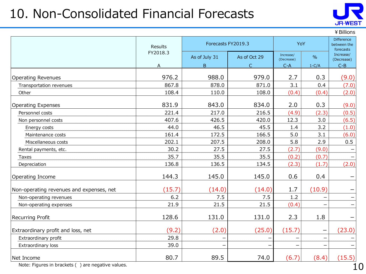# 10. Non-Consolidated Financial Forecasts



¥Billions

|                                          | Results  | Forecasts FY2019.3 |              | YoY                     |               | Difference<br>between the<br>forecasts |
|------------------------------------------|----------|--------------------|--------------|-------------------------|---------------|----------------------------------------|
|                                          | FY2018.3 | As of July 31      | As of Oct 29 | Increase/<br>(Decrease) | $\frac{0}{0}$ | Increase/<br>(Decrease)                |
|                                          | A        | B.                 | $\mathsf{C}$ | $C-A$                   | $1-C/A$       | $C-B$                                  |
| <b>Operating Revenues</b>                | 976.2    | 988.0              | 979.0        | 2.7                     | 0.3           | (9.0)                                  |
| Transportation revenues                  | 867.8    | 878.0              | 871.0        | 3.1                     | 0.4           | (7.0)                                  |
| Other                                    | 108.4    | 110.0              | 108.0        | (0.4)                   | (0.4)         | (2.0)                                  |
| <b>Operating Expenses</b>                | 831.9    | 843.0              | 834.0        | 2.0                     | 0.3           | (9.0)                                  |
| Personnel costs                          | 221.4    | 217.0              | 216.5        | (4.9)                   | (2.3)         | (0.5)                                  |
| Non personnel costs                      | 407.6    | 426.5              | 420.0        | 12.3                    | 3.0           | (6.5)                                  |
| Energy costs                             | 44.0     | 46.5               | 45.5         | 1.4                     | 3.2           | (1.0)                                  |
| Maintenance costs                        | 161.4    | 172.5              | 166.5        | 5.0                     | 3.1           | (6.0)                                  |
| Miscellaneous costs                      | 202.1    | 207.5              | 208.0        | 5.8                     | 2.9           | 0.5                                    |
| Rental payments, etc.                    | 30.2     | 27.5               | 27.5         | (2.7)                   | (9.0)         |                                        |
| Taxes                                    | 35.7     | 35.5               | 35.5         | (0.2)                   | (0.7)         |                                        |
| Depreciation                             | 136.8    | 136.5              | 134.5        | (2.3)                   | (1.7)         | (2.0)                                  |
| Operating Income                         | 144.3    | 145.0              | 145.0        | 0.6                     | 0.4           |                                        |
| Non-operating revenues and expenses, net | (15.7)   | (14.0)             | (14.0)       | 1.7                     | (10.9)        |                                        |
| Non-operating revenues                   | 6.2      | 7.5                | 7.5          | 1.2                     |               | $\qquad \qquad -$                      |
| Non-operating expenses                   | 21.9     | 21.5               | 21.5         | (0.4)                   |               |                                        |
| <b>Recurring Profit</b>                  | 128.6    | 131.0              | 131.0        | 2.3                     | 1.8           |                                        |
| Extraordinary profit and loss, net       | (9.2)    | (2.0)              | (25.0)       | (15.7)                  |               | (23.0)                                 |
| Extraordinary profit                     | 29.8     |                    |              |                         |               |                                        |
| Extraordinary loss                       | 39.0     |                    |              |                         |               |                                        |
| Net Income                               | 80.7     | 89.5               | 74.0         | (6.7)                   | (8.4)         | (15.5)                                 |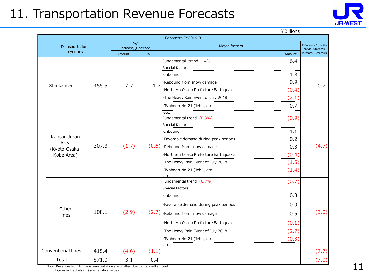# 11. Transportation Revenue Forecasts



¥Billions

|  | Forecasts FY2019.3                                  |       |                     |       |                                       |        |                                          |  |  |  |  |
|--|-----------------------------------------------------|-------|---------------------|-------|---------------------------------------|--------|------------------------------------------|--|--|--|--|
|  | Transportation                                      |       | Increase/(Decrease) | YoY   | Major factors                         |        | Difference from the<br>previous forecast |  |  |  |  |
|  | revenues                                            |       | Amount              | $\%$  |                                       | Amount | Increase/(Decrease)                      |  |  |  |  |
|  |                                                     |       |                     |       | Fundamental trend 1.4%                | 6.4    |                                          |  |  |  |  |
|  |                                                     |       |                     |       | Special factors                       |        |                                          |  |  |  |  |
|  |                                                     |       |                     |       | $\cdot$ Inbound                       | 1.8    |                                          |  |  |  |  |
|  | Shinkansen                                          | 455.5 | 7.7                 | 1.7   | ·Rebound from snow damage             | 0.9    | 0.7                                      |  |  |  |  |
|  |                                                     |       |                     |       | ·Northern Osaka Prefecture Earthquake | (0.4)  |                                          |  |  |  |  |
|  |                                                     |       |                     |       | ·The Heavy Rain Event of July 2018    | (2.1)  |                                          |  |  |  |  |
|  |                                                     |       |                     |       | ·Typhoon No.21 (Jebi), etc.           | 0.7    |                                          |  |  |  |  |
|  |                                                     |       |                     |       | etc.                                  |        |                                          |  |  |  |  |
|  |                                                     |       |                     |       | Fundamental trend (0.3%)              | (0.9)  |                                          |  |  |  |  |
|  |                                                     |       | (1.7)               |       | Special factors                       |        | (4.7)                                    |  |  |  |  |
|  | Kansai Urban<br>Area<br>(Kyoto-Osaka-<br>Kobe Area) |       |                     |       | $\cdot$ Inbound                       | 1.1    |                                          |  |  |  |  |
|  |                                                     |       |                     |       |                                       | 0.2    |                                          |  |  |  |  |
|  |                                                     | 307.3 |                     |       | $(0.6)$ · Rebound from snow damage    | 0.3    |                                          |  |  |  |  |
|  |                                                     |       |                     |       | ·Northern Osaka Prefecture Earthquake | (0.4)  |                                          |  |  |  |  |
|  |                                                     |       |                     |       | ·The Heavy Rain Event of July 2018    | (1.5)  |                                          |  |  |  |  |
|  |                                                     |       |                     |       | ·Typhoon No.21 (Jebi), etc.           | (1.4)  |                                          |  |  |  |  |
|  |                                                     |       |                     |       | etc.                                  |        |                                          |  |  |  |  |
|  |                                                     |       |                     |       | Fundamental trend (0.7%)              | (0.7)  | (3.0)                                    |  |  |  |  |
|  |                                                     |       |                     |       | Special factors                       |        |                                          |  |  |  |  |
|  |                                                     |       |                     |       | ·Inbound                              | 0.3    |                                          |  |  |  |  |
|  |                                                     |       |                     |       | ·Favorable demand during peak periods | 0.0    |                                          |  |  |  |  |
|  | Other<br>lines                                      | 108.1 | (2.9)               | (2.7) | Rebound from snow damage              | 0.5    |                                          |  |  |  |  |
|  |                                                     |       |                     |       | ·Northern Osaka Prefecture Earthquake | (0.1)  |                                          |  |  |  |  |
|  |                                                     |       |                     |       | ·The Heavy Rain Event of July 2018    | (2.7)  |                                          |  |  |  |  |
|  |                                                     |       |                     |       | ·Typhoon No.21 (Jebi), etc.           | (0.3)  |                                          |  |  |  |  |
|  | Conventional lines                                  |       |                     |       | etc.                                  |        |                                          |  |  |  |  |
|  |                                                     | 415.4 | (4.6)               | (1.1) |                                       |        | (7.7)                                    |  |  |  |  |
|  | Total                                               | 871.0 | 3.1                 | 0.4   |                                       |        | (7.0)                                    |  |  |  |  |

Note: Revenues from luggage transportation are omitted due to the small amount. Figures in brackets ( ) are negative values.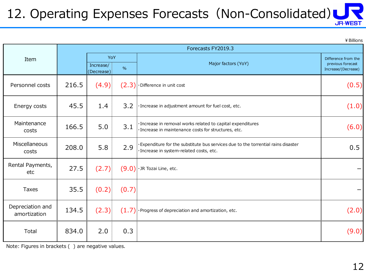#### 12. Operating Expenses Forecasts (Non-Consolidated) **JR-WEST**

¥Billions

|                                  |       | Forecasts FY2019.3                     |       |                                                                                                                              |                                                                 |  |  |
|----------------------------------|-------|----------------------------------------|-------|------------------------------------------------------------------------------------------------------------------------------|-----------------------------------------------------------------|--|--|
| Item                             |       | YoY<br>Increase/<br>$\%$<br>(Decrease) |       | Major factors (YoY)                                                                                                          | Difference from the<br>previous forecast<br>Increase/(Decrease) |  |  |
| Personnel costs                  | 216.5 | (4.9)                                  |       | $(2.3)$ · Difference in unit cost                                                                                            | (0.5)                                                           |  |  |
| Energy costs                     | 45.5  | 1.4                                    | 3.2   | · Increase in adjustment amount for fuel cost, etc.                                                                          | (1.0)                                                           |  |  |
| Maintenance<br>costs             | 166.5 | 5.0                                    | 3.1   | · Increase in removal works related to capital expenditures<br>· Increase in maintenance costs for structures, etc.          | (6.0)                                                           |  |  |
| Miscellaneous<br>costs           | 208.0 | 5.8                                    | 2.9   | Expenditure for the substitute bus services due to the torrential rains disaster<br>· Increase in system-related costs, etc. | 0.5                                                             |  |  |
| Rental Payments,<br>etc          | 27.5  | (2.7)                                  |       | $(9.0)$ · JR Tozai Line, etc.                                                                                                |                                                                 |  |  |
| Taxes                            | 35.5  | (0.2)                                  | (0.7) |                                                                                                                              | —                                                               |  |  |
| Depreciation and<br>amortization | 134.5 | (2.3)                                  |       | $(1.7)$ · Progress of depreciation and amortization, etc.                                                                    | (2.0)                                                           |  |  |
| Total                            | 834.0 | 2.0                                    | 0.3   |                                                                                                                              | (9.0)                                                           |  |  |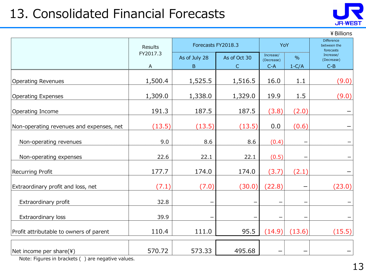# 13. Consolidated Financial Forecasts



¥Billions

|                                          | Results                   | Forecasts FY2018.3 |              | YoY                     |               | <b>Difference</b><br>between the<br>forecasts |  |
|------------------------------------------|---------------------------|--------------------|--------------|-------------------------|---------------|-----------------------------------------------|--|
|                                          | FY2017.3                  | As of July 28      | As of Oct 30 | Increase/<br>(Decrease) | $\frac{0}{0}$ | Increase/<br>(Decrease)                       |  |
|                                          | $\boldsymbol{\mathsf{A}}$ | B                  | $\mathsf{C}$ | $C-A$                   | $1-C/A$       | $C-B$                                         |  |
| <b>Operating Revenues</b>                | 1,500.4                   | 1,525.5            | 1,516.5      | 16.0                    | 1.1           | (9.0)                                         |  |
| <b>Operating Expenses</b>                | 1,309.0                   | 1,338.0            | 1,329.0      | 19.9                    | 1.5           | (9.0)                                         |  |
| Operating Income                         | 191.3                     | 187.5              | 187.5        | (3.8)                   | (2.0)         |                                               |  |
| Non-operating revenues and expenses, net | (13.5)                    | (13.5)             | (13.5)       | 0.0                     | (0.6)         |                                               |  |
| Non-operating revenues                   | 9.0                       | 8.6                | 8.6          | (0.4)                   |               |                                               |  |
| Non-operating expenses                   | 22.6                      | 22.1               | 22.1         | (0.5)                   |               |                                               |  |
| Recurring Profit                         | 177.7                     | 174.0              | 174.0        | (3.7)                   | (2.1)         |                                               |  |
| Extraordinary profit and loss, net       | (7.1)                     | (7.0)              | (30.0)       | (22.8)                  |               | (23.0)                                        |  |
| Extraordinary profit                     | 32.8                      |                    |              |                         |               |                                               |  |
| Extraordinary loss                       | 39.9                      |                    |              |                         |               |                                               |  |
| Profit attributable to owners of parent  | 110.4                     | 111.0              | 95.5         | (14.9)                  | (13.6)        | (15.5)                                        |  |
| Net income per share(¥)                  | 570.72                    | 573.33             | 495.68       |                         |               |                                               |  |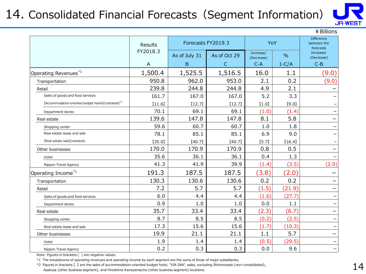# 14. Consolidated Financial Forecasts (Segment Information)



 $\angle$  Rillions

|                                                                | Results       |                              | Forecasts FY2019.3 | YoY                              |                          | <b>Difference</b><br>between the<br>forecasts |
|----------------------------------------------------------------|---------------|------------------------------|--------------------|----------------------------------|--------------------------|-----------------------------------------------|
|                                                                | FY2018.3<br>A | As of July 31<br>$\mathsf B$ | As of Oct 29<br>C  | Increase/<br>(Decrease)<br>$C-A$ | $\frac{0}{0}$<br>$1-C/A$ | Increase/<br>(Decrease)<br>$C-B$              |
|                                                                | 1,500.4       | 1,525.5                      | 1,516.5            | 16.0                             | 1.1                      | (9.0)                                         |
| Operating Revenues*1                                           |               |                              |                    |                                  |                          |                                               |
| Transportation                                                 | 950.8         | 962.0                        | 953.0              | 2.1                              | 0.2                      | (9.0)                                         |
| Retail                                                         | 239.8         | 244.8                        | 244.8              | 4.9                              | 2.1                      |                                               |
| Sales of goods and food services                               | 161.7         | 167.0                        | 167.0              | 5.2                              | 3.3                      |                                               |
| [Accommodation-oriented budget hotels](restated) <sup>*2</sup> | [11.6]        | [12.7]                       | [12.7]             | [1.0]                            | [9.0]                    |                                               |
| Department stores                                              | 70.1          | 69.1                         | 69.1               | (1.0)                            | (1.4)                    |                                               |
| Real estate                                                    | 139.6         | 147.8                        | 147.8              | 8.1                              | 5.8                      | $\overline{\phantom{0}}$                      |
| Shopping center                                                | 59.6          | 60.7                         | 60.7               | 1.0                              | 1.8                      |                                               |
| Real estate lease and sale                                     | 78.1          | 85.1                         | 85.1               | 6.9                              | 9.0                      | -                                             |
| [Real estate sale](restated)                                   | [35.0]        | [40.7]                       | [40.7]             | [5.7]                            | [16.4]                   |                                               |
| Other businesses                                               | 170.0         | 170.9                        | 170.9              | 0.8                              | 0.5                      |                                               |
| Hotel                                                          | 35.6          | 36.1                         | 36.1               | 0.4                              | 1.3                      |                                               |
| Nippon Travel Agency                                           | 41.3          | 41.9                         | 39.9               | (1.4)                            | (3.5)                    | (2.0)                                         |
| Operating Income <sup>*1</sup>                                 | 191.3         | 187.5                        | 187.5              | (3.8)                            | (2.0)                    |                                               |
| Transportation                                                 | 130.3         | 130.6                        | 130.6              | 0.2                              | 0.2                      |                                               |
| Retail                                                         | 7.2           | 5.7                          | 5.7                | (1.5)                            | (21.9)                   | —                                             |
| Sales of goods and food services                               | 6.0           | 4.4                          | 4.4                | (1.6)                            | (27.7)                   |                                               |
| Department stores                                              | 0.9           | 1.0                          | 1.0                | 0.0                              | 1.1                      |                                               |
| Real estate                                                    | 35.7          | 33.4                         | 33.4               | (2.3)                            | (6.7)                    |                                               |
| Shopping center                                                | 8.7           | 8.5                          | 8.5                | (0.2)                            | (2.5)                    | $\overline{\phantom{0}}$                      |
| Real estate lease and sale                                     | 17.3          | 15.6                         | 15.6               | (1.7)                            | (10.3)                   |                                               |
| Other businesses                                               | 19.9          | 21.1                         | 21.1               | 1.1                              | 5.7                      | —                                             |
| Hotel                                                          | 1.9           | 1.4                          | 1.4                | (0.5)                            | (29.5)                   |                                               |
| Nippon Travel Agency                                           | 0.2           | 0.3                          | 0.3                | 0.0                              | 9.6                      | $\qquad \qquad \qquad$                        |

Note: Figures in brackets ( ) are negative values.

\*1 The breakdowns of operating revenues and operating income by each segment are the sums of those of major subsidiaries.

\*2 Figures in brackets 【 】 are the sales of accommodation-oriented budget hotel, "VIA INN", sales, excluding Shimonoseki (non-consolidated), Asakusa (other business segment), and Hiroshima Kanayamacho (other business segment) locations.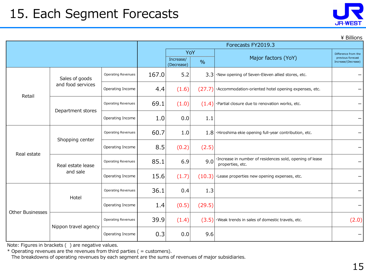| JR-WEST |  |
|---------|--|

\ Billions

|                         |                               | Forecasts FY2019.3                              |       |                     |                                                                 |                                                                              |       |
|-------------------------|-------------------------------|-------------------------------------------------|-------|---------------------|-----------------------------------------------------------------|------------------------------------------------------------------------------|-------|
|                         |                               | YoY<br>Increase/<br>$\frac{9}{6}$<br>(Decrease) |       | Major factors (YoY) | Difference from the<br>previous forecast<br>Increase/(Decrease) |                                                                              |       |
|                         | Sales of goods                | <b>Operating Revenues</b>                       | 167.0 | 5.2                 |                                                                 | $3.3$ $\cdot$ New opening of Seven-Eleven allied stores, etc.                |       |
| Retail                  | and food services             | Operating Income                                | 4.4   | (1.6)               | (27.7)                                                          | ·Accommodation-oriented hotel opening expenses, etc.                         |       |
|                         | Department stores             | <b>Operating Revenues</b>                       | 69.1  | (1.0)               |                                                                 | $(1.4)$ · Partial closure due to renovation works, etc.                      |       |
|                         |                               | Operating Income                                | 1.0   | 0.0                 | 1.1                                                             |                                                                              |       |
|                         | Shopping center               | <b>Operating Revenues</b>                       | 60.7  | 1.0                 |                                                                 | $1.8$ . Hiroshima ekie opening full-year contribution, etc.                  |       |
| Real estate             |                               | Operating Income                                | 8.5   | (0.2)               | (2.5)                                                           |                                                                              |       |
|                         | Real estate lease<br>and sale | <b>Operating Revenues</b>                       | 85.1  | 6.9                 | 9.0                                                             | ·Increase in number of residences sold, opening of lease<br>properties, etc. |       |
|                         |                               | Operating Income                                | 15.6  | (1.7)               | (10.3)                                                          | ·Lease properties new opening expenses, etc.                                 |       |
|                         | Hotel                         | <b>Operating Revenues</b>                       | 36.1  | 0.4                 | 1.3                                                             |                                                                              |       |
| <b>Other Businesses</b> |                               | Operating Income                                | 1.4   | (0.5)               | (29.5)                                                          |                                                                              |       |
|                         | Nippon travel agency          | <b>Operating Revenues</b>                       | 39.9  | (1.4)               | (3.5)                                                           | . Weak trends in sales of domestic travels, etc.                             | (2.0) |
|                         |                               | Operating Income                                | 0.3   | 0.0                 | 9.6                                                             |                                                                              |       |

Note: Figures in brackets ( ) are negative values.

 $*$  Operating revenues are the revenues from third parties ( = customers).

The breakdowns of operating revenues by each segment are the sums of revenues of major subsidiaries.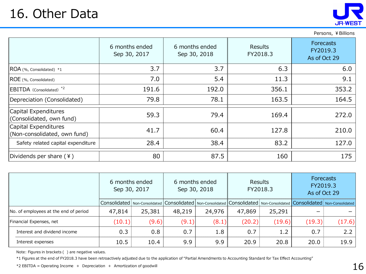

Persons, ¥ Billions

|                                                      | 6 months ended<br>Sep 30, 2017 | 6 months ended<br>Sep 30, 2018 | <b>Results</b><br>FY2018.3 | <b>Forecasts</b><br>FY2019.3<br>As of Oct 29 |
|------------------------------------------------------|--------------------------------|--------------------------------|----------------------------|----------------------------------------------|
| ROA (%, Consolidated) *1                             | 3.7                            | 3.7                            | 6.3                        | 6.0                                          |
| ROE (%, Consolidated)                                | 7.0                            | 5.4                            | 11.3                       | 9.1                                          |
| EBITDA (Consolidated) <sup>*2</sup>                  | 191.6                          | 192.0                          | 356.1                      | 353.2                                        |
| Depreciation (Consolidated)                          | 79.8                           | 78.1                           | 163.5                      | 164.5                                        |
| Capital Expenditures<br>(Consolidated, own fund)     | 59.3                           | 79.4                           | 169.4                      | 272.0                                        |
| Capital Expenditures<br>(Non-consolidated, own fund) | 41.7                           | 60.4                           | 127.8                      | 210.0                                        |
| Safety related capital expenditure                   | 28.4                           | 38.4                           | 83.2                       | 127.0                                        |
| Dividends per share $(*)$                            | 80                             | 87.5                           | 160                        | 175                                          |

|                                       | 6 months ended<br>Sep 30, 2017 |        |        | 6 months ended<br>Sep 30, 2018 |        | <b>Results</b><br>FY2018.3 | <b>Forecasts</b><br>FY2019.3<br>As of Oct 29                                                                                          |               |
|---------------------------------------|--------------------------------|--------|--------|--------------------------------|--------|----------------------------|---------------------------------------------------------------------------------------------------------------------------------------|---------------|
|                                       |                                |        |        |                                |        |                            | Consolidated   Non-Consolidated   Consolidated   Non-Consolidated   Consolidated   Non-Consolidated   Consolidated   Non-Consolidated |               |
| No. of employees at the end of period | 47,814                         | 25,381 | 48,219 | 24,976                         | 47,869 | 25,291                     |                                                                                                                                       |               |
| Financial Expenses, net               | (10.1)                         | (9.6)  | (9.1)  | (8.1)                          | (20.2) | (19.6)                     | (19.3)                                                                                                                                | (17.6)        |
| Interest and dividend income          | 0.3                            | 0.8    | 0.7    | 1.8                            | 0.7    | 1.2                        | 0.7                                                                                                                                   | $2.2^{\circ}$ |
| Interest expenses                     | 10.5                           | 10.4   | 9.9    | 9.9                            | 20.9   | 20.8                       | 20.0                                                                                                                                  | 19.9          |

Note: Figures in brackets ( ) are negative values.

\*1 Figures at the end of FY2018.3 have been retroactively adjusted due to the application of "Partial Amendments to Accounting Standard for Tax Effect Accounting"

 $*2$  EBITDA = Operating Income + Depreciation + Amortization of goodwill